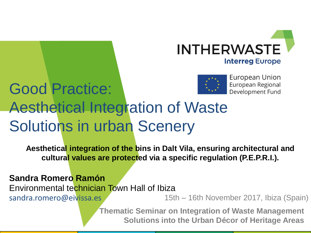



## Good Practice: Aesthetical Integration of Waste Solutions in urban Scenery

**Aesthetical integration of the bins in Dalt Vila, ensuring architectural and cultural values are protected via a specific regulation (P.E.P.R.I.).**

**Sandra Romero Ramón**

Environmental technician Town Hall of Ibiza sandra.romero@eivissa.es

15th – 16th November 2017, Ibiza (Spain)

**Thematic Seminar on Integration of Waste Management Solutions into the Urban Décor of Heritage Areas**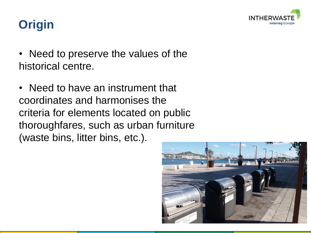

### **Origin**

- Need to preserve the values of the historical centre.
- Need to have an instrument that coordinates and harmonises the criteria for elements located on public thoroughfares, such as urban furniture (waste bins, litter bins, etc.).

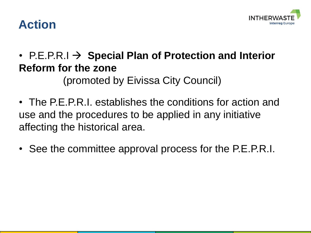

#### **Action**

•  $PE.P.R.I \rightarrow Special Plan of Protection and Interior$ **Reform for the zone** 

(promoted by Eivissa City Council)

- The P.E.P.R.I. establishes the conditions for action and use and the procedures to be applied in any initiative affecting the historical area.
- See the committee approval process for the P.E.P.R.I.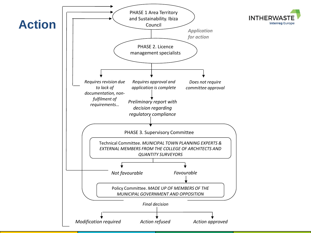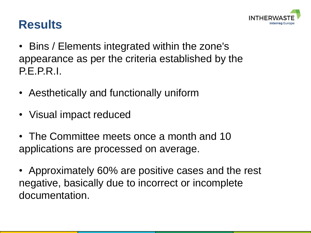

#### **Results**

- Bins / Elements integrated within the zone's appearance as per the criteria established by the P.E.P.R.I.
- Aesthetically and functionally uniform
- Visual impact reduced
- The Committee meets once a month and 10 applications are processed on average.
- Approximately 60% are positive cases and the rest negative, basically due to incorrect or incomplete documentation.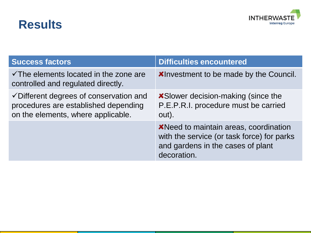#### **Results**



| <b>Success factors</b>                                                                                                           | <b>Difficulties encountered</b>                                                                                                                 |
|----------------------------------------------------------------------------------------------------------------------------------|-------------------------------------------------------------------------------------------------------------------------------------------------|
| $\checkmark$ The elements located in the zone are<br>controlled and regulated directly.                                          | <b>XInvestment to be made by the Council.</b>                                                                                                   |
| $\checkmark$ Different degrees of conservation and<br>procedures are established depending<br>on the elements, where applicable. | <b>X</b> Slower decision-making (since the<br>P.E.P.R.I. procedure must be carried<br>out).                                                     |
|                                                                                                                                  | <b>X</b> Need to maintain areas, coordination<br>with the service (or task force) for parks<br>and gardens in the cases of plant<br>decoration. |